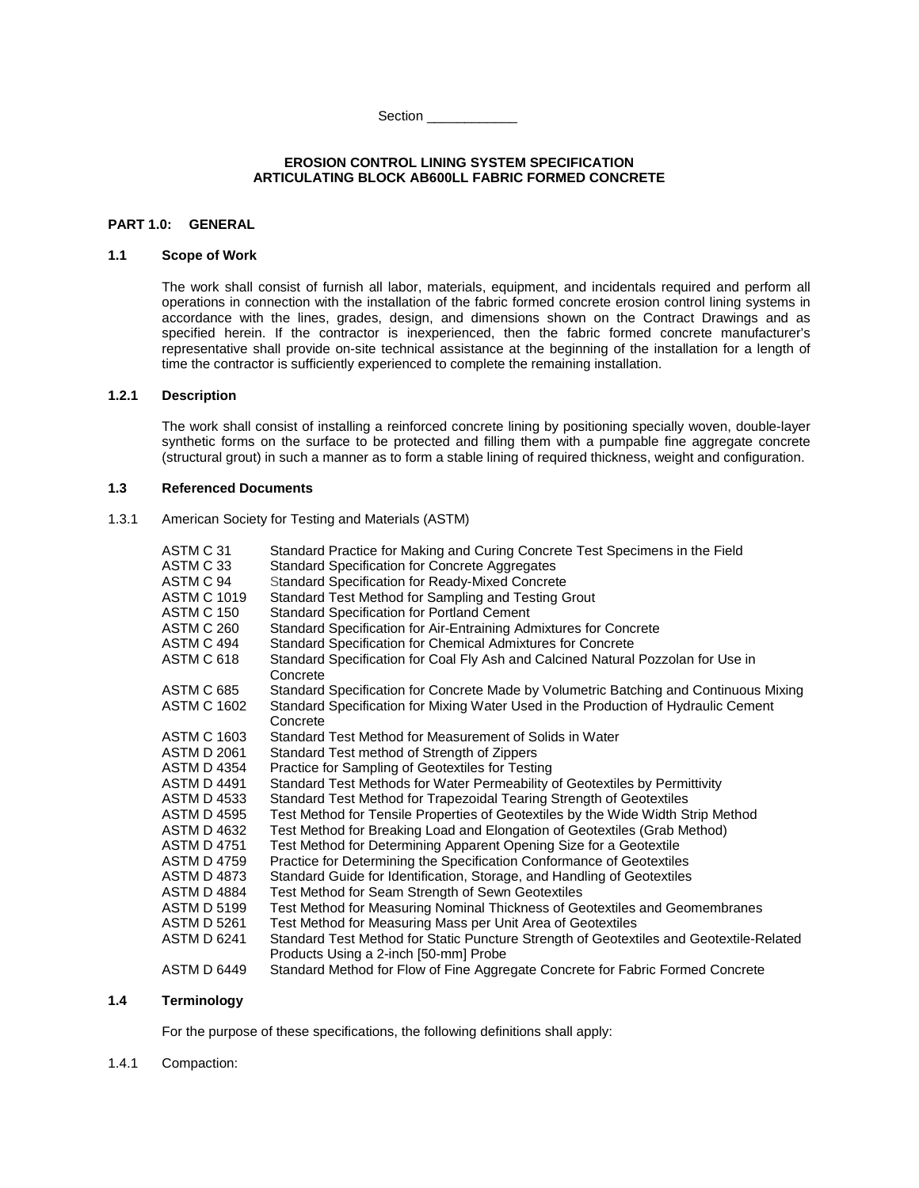Section \_\_\_\_\_\_\_\_\_\_\_\_

#### **EROSION CONTROL LINING SYSTEM SPECIFICATION ARTICULATING BLOCK AB600LL FABRIC FORMED CONCRETE**

### **PART 1.0: GENERAL**

# **1.1 Scope of Work**

The work shall consist of furnish all labor, materials, equipment, and incidentals required and perform all operations in connection with the installation of the fabric formed concrete erosion control lining systems in accordance with the lines, grades, design, and dimensions shown on the Contract Drawings and as specified herein. If the contractor is inexperienced, then the fabric formed concrete manufacturer's representative shall provide on-site technical assistance at the beginning of the installation for a length of time the contractor is sufficiently experienced to complete the remaining installation.

# **1.2.1 Description**

The work shall consist of installing a reinforced concrete lining by positioning specially woven, double-layer synthetic forms on the surface to be protected and filling them with a pumpable fine aggregate concrete (structural grout) in such a manner as to form a stable lining of required thickness, weight and configuration.

# **1.3 Referenced Documents**

1.3.1 American Society for Testing and Materials (ASTM)

| ASTM C 31          | Standard Practice for Making and Curing Concrete Test Specimens in the Field                 |
|--------------------|----------------------------------------------------------------------------------------------|
| ASTM C 33          | <b>Standard Specification for Concrete Aggregates</b>                                        |
| ASTM C 94          | <b>Standard Specification for Ready-Mixed Concrete</b>                                       |
| <b>ASTM C 1019</b> | Standard Test Method for Sampling and Testing Grout                                          |
| <b>ASTM C 150</b>  | Standard Specification for Portland Cement                                                   |
| ASTM C 260         | Standard Specification for Air-Entraining Admixtures for Concrete                            |
| ASTM C 494         | Standard Specification for Chemical Admixtures for Concrete                                  |
| ASTM C 618         | Standard Specification for Coal Fly Ash and Calcined Natural Pozzolan for Use in<br>Concrete |
| <b>ASTM C 685</b>  | Standard Specification for Concrete Made by Volumetric Batching and Continuous Mixing        |
| <b>ASTM C 1602</b> | Standard Specification for Mixing Water Used in the Production of Hydraulic Cement           |
|                    | Concrete                                                                                     |
| <b>ASTM C 1603</b> | Standard Test Method for Measurement of Solids in Water                                      |
| <b>ASTM D 2061</b> | Standard Test method of Strength of Zippers                                                  |
| <b>ASTM D 4354</b> | Practice for Sampling of Geotextiles for Testing                                             |
| ASTM D 4491        | Standard Test Methods for Water Permeability of Geotextiles by Permittivity                  |
| <b>ASTM D 4533</b> | Standard Test Method for Trapezoidal Tearing Strength of Geotextiles                         |
| <b>ASTM D 4595</b> | Test Method for Tensile Properties of Geotextiles by the Wide Width Strip Method             |
| ASTM D 4632        | Test Method for Breaking Load and Elongation of Geotextiles (Grab Method)                    |
| <b>ASTM D 4751</b> | Test Method for Determining Apparent Opening Size for a Geotextile                           |
| ASTM D 4759        | Practice for Determining the Specification Conformance of Geotextiles                        |
| <b>ASTM D 4873</b> | Standard Guide for Identification, Storage, and Handling of Geotextiles                      |
| <b>ASTM D 4884</b> | Test Method for Seam Strength of Sewn Geotextiles                                            |
| <b>ASTM D 5199</b> | Test Method for Measuring Nominal Thickness of Geotextiles and Geomembranes                  |
| <b>ASTM D 5261</b> | Test Method for Measuring Mass per Unit Area of Geotextiles                                  |
| <b>ASTM D 6241</b> | Standard Test Method for Static Puncture Strength of Geotextiles and Geotextile-Related      |
|                    | Products Using a 2-inch [50-mm] Probe                                                        |
| <b>ASTM D 6449</b> | Standard Method for Flow of Fine Aggregate Concrete for Fabric Formed Concrete               |

### **1.4 Terminology**

For the purpose of these specifications, the following definitions shall apply:

# 1.4.1 Compaction: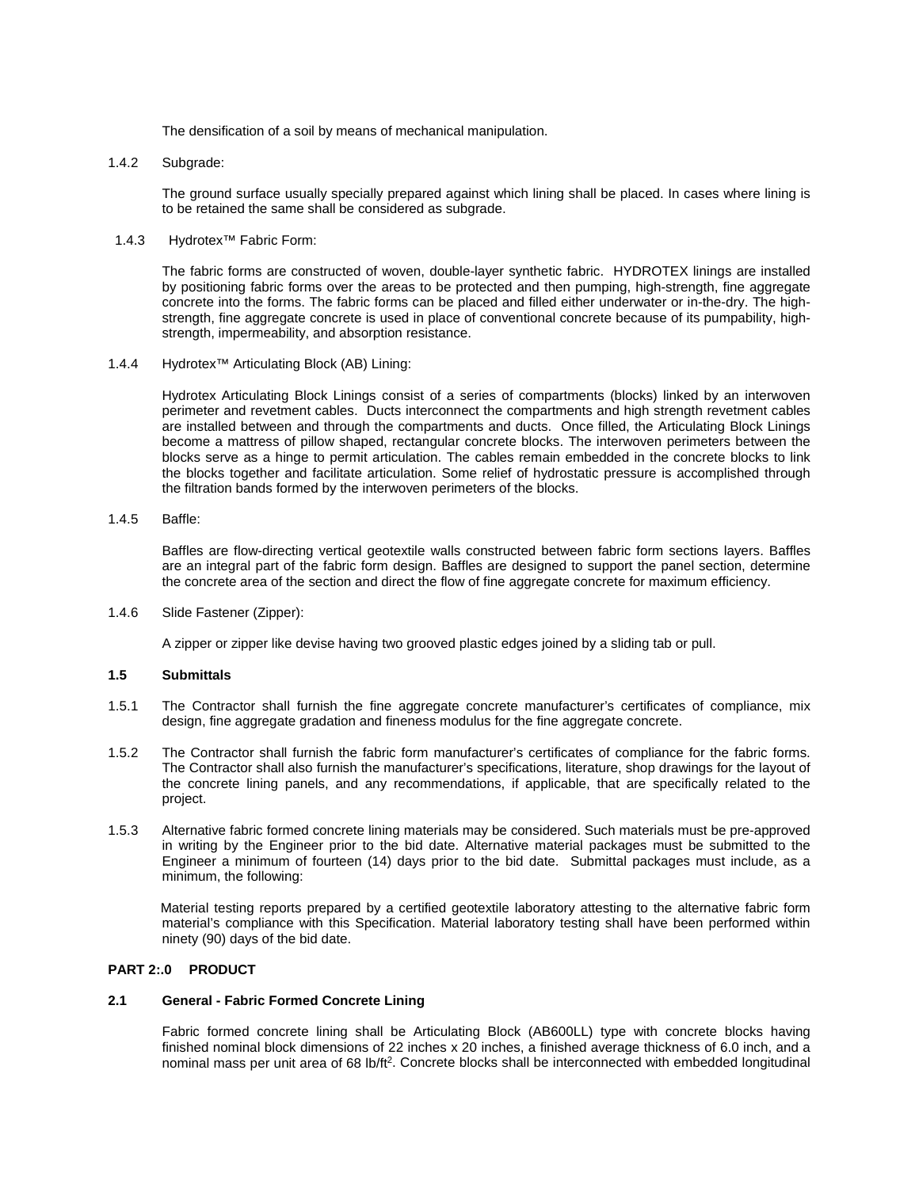The densification of a soil by means of mechanical manipulation.

1.4.2 Subgrade:

The ground surface usually specially prepared against which lining shall be placed. In cases where lining is to be retained the same shall be considered as subgrade.

1.4.3 Hydrotex™ Fabric Form:

The fabric forms are constructed of woven, double-layer synthetic fabric. HYDROTEX linings are installed by positioning fabric forms over the areas to be protected and then pumping, high-strength, fine aggregate concrete into the forms. The fabric forms can be placed and filled either underwater or in-the-dry. The highstrength, fine aggregate concrete is used in place of conventional concrete because of its pumpability, highstrength, impermeability, and absorption resistance.

1.4.4 Hydrotex™ Articulating Block (AB) Lining:

Hydrotex Articulating Block Linings consist of a series of compartments (blocks) linked by an interwoven perimeter and revetment cables. Ducts interconnect the compartments and high strength revetment cables are installed between and through the compartments and ducts. Once filled, the Articulating Block Linings become a mattress of pillow shaped, rectangular concrete blocks. The interwoven perimeters between the blocks serve as a hinge to permit articulation. The cables remain embedded in the concrete blocks to link the blocks together and facilitate articulation. Some relief of hydrostatic pressure is accomplished through the filtration bands formed by the interwoven perimeters of the blocks.

1.4.5 Baffle:

Baffles are flow-directing vertical geotextile walls constructed between fabric form sections layers. Baffles are an integral part of the fabric form design. Baffles are designed to support the panel section, determine the concrete area of the section and direct the flow of fine aggregate concrete for maximum efficiency.

1.4.6 Slide Fastener (Zipper):

A zipper or zipper like devise having two grooved plastic edges joined by a sliding tab or pull.

# **1.5 Submittals**

- 1.5.1 The Contractor shall furnish the fine aggregate concrete manufacturer's certificates of compliance, mix design, fine aggregate gradation and fineness modulus for the fine aggregate concrete.
- 1.5.2 The Contractor shall furnish the fabric form manufacturer's certificates of compliance for the fabric forms. The Contractor shall also furnish the manufacturer's specifications, literature, shop drawings for the layout of the concrete lining panels, and any recommendations, if applicable, that are specifically related to the project.
- 1.5.3 Alternative fabric formed concrete lining materials may be considered. Such materials must be pre-approved in writing by the Engineer prior to the bid date. Alternative material packages must be submitted to the Engineer a minimum of fourteen (14) days prior to the bid date. Submittal packages must include, as a minimum, the following:

Material testing reports prepared by a certified geotextile laboratory attesting to the alternative fabric form material's compliance with this Specification. Material laboratory testing shall have been performed within ninety (90) days of the bid date.

# **PART 2:.0 PRODUCT**

#### **2.1 General - Fabric Formed Concrete Lining**

Fabric formed concrete lining shall be Articulating Block (AB600LL) type with concrete blocks having finished nominal block dimensions of 22 inches x 20 inches, a finished average thickness of 6.0 inch, and a nominal mass per unit area of 68 lb/ft<sup>2</sup>. Concrete blocks shall be interconnected with embedded longitudinal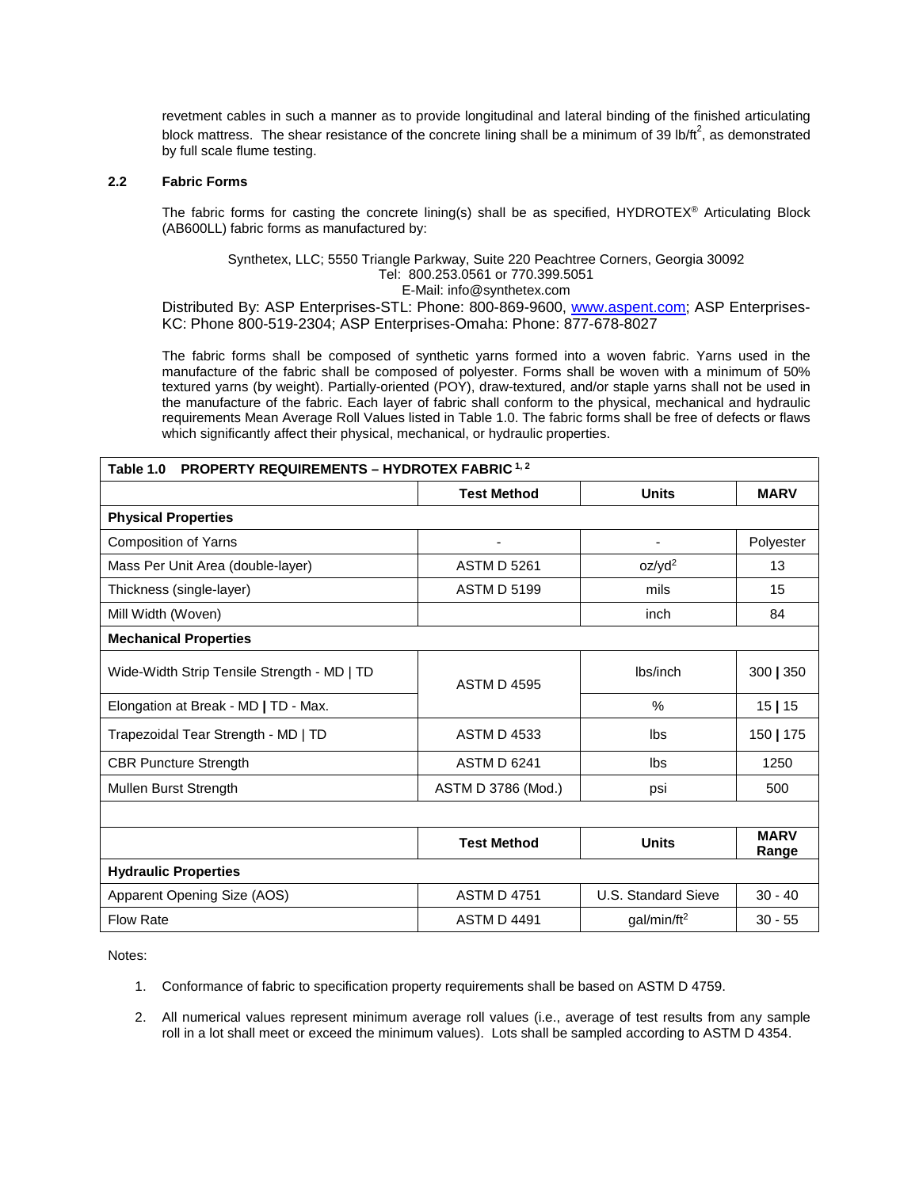revetment cables in such a manner as to provide longitudinal and lateral binding of the finished articulating block mattress. The shear resistance of the concrete lining shall be a minimum of 39 lb/ft<sup>2</sup>, as demonstrated by full scale flume testing.

# **2.2 Fabric Forms**

The fabric forms for casting the concrete lining(s) shall be as specified, HYDROTEX® Articulating Block (AB600LL) fabric forms as manufactured by:

# Synthetex, LLC; 5550 Triangle Parkway, Suite 220 Peachtree Corners, Georgia 30092 Tel: 800.253.0561 or 770.399.5051

E-Mail: info@synthetex.com

Distributed By: ASP Enterprises-STL: Phone: 800-869-9600, [www.aspent.com;](http://www.aspent.com/) ASP Enterprises-KC: Phone 800-519-2304; ASP Enterprises-Omaha: Phone: 877-678-8027

The fabric forms shall be composed of synthetic yarns formed into a woven fabric. Yarns used in the manufacture of the fabric shall be composed of polyester. Forms shall be woven with a minimum of 50% textured yarns (by weight). Partially-oriented (POY), draw-textured, and/or staple yarns shall not be used in the manufacture of the fabric. Each layer of fabric shall conform to the physical, mechanical and hydraulic requirements Mean Average Roll Values listed in Table 1.0. The fabric forms shall be free of defects or flaws which significantly affect their physical, mechanical, or hydraulic properties.

| <b>PROPERTY REQUIREMENTS - HYDROTEX FABRIC 1, 2</b><br>Table 1.0 |                                               |                          |                      |  |  |  |
|------------------------------------------------------------------|-----------------------------------------------|--------------------------|----------------------|--|--|--|
|                                                                  | <b>Test Method</b>                            | <b>Units</b>             | <b>MARV</b>          |  |  |  |
| <b>Physical Properties</b>                                       |                                               |                          |                      |  |  |  |
| <b>Composition of Yarns</b>                                      | ٠                                             | $\overline{\phantom{a}}$ | Polyester            |  |  |  |
| Mass Per Unit Area (double-layer)                                | <b>ASTM D 5261</b>                            | oz/yd <sup>2</sup>       | 13                   |  |  |  |
| Thickness (single-layer)                                         | <b>ASTM D 5199</b>                            | mils                     | 15                   |  |  |  |
| Mill Width (Woven)                                               |                                               | inch                     | 84                   |  |  |  |
| <b>Mechanical Properties</b>                                     |                                               |                          |                      |  |  |  |
| Wide-Width Strip Tensile Strength - MD   TD                      | <b>ASTM D 4595</b>                            | lbs/inch                 | 300   350            |  |  |  |
| Elongation at Break - MD   TD - Max.                             |                                               | $\%$                     | 15 15                |  |  |  |
| Trapezoidal Tear Strength - MD   TD                              | <b>ASTM D 4533</b>                            | lbs                      | 150   175            |  |  |  |
| <b>CBR Puncture Strength</b>                                     | <b>ASTM D 6241</b>                            | Ibs                      | 1250                 |  |  |  |
| Mullen Burst Strength                                            | ASTM D 3786 (Mod.)                            | psi                      | 500                  |  |  |  |
|                                                                  |                                               |                          |                      |  |  |  |
|                                                                  | <b>Test Method</b>                            | <b>Units</b>             | <b>MARV</b><br>Range |  |  |  |
| <b>Hydraulic Properties</b>                                      |                                               |                          |                      |  |  |  |
| Apparent Opening Size (AOS)                                      | <b>ASTM D 4751</b>                            | U.S. Standard Sieve      | $30 - 40$            |  |  |  |
| <b>Flow Rate</b>                                                 | <b>ASTM D 4491</b><br>gal/min/ft <sup>2</sup> |                          | $30 - 55$            |  |  |  |

Notes:

- 1. Conformance of fabric to specification property requirements shall be based on ASTM D 4759.
- 2. All numerical values represent minimum average roll values (i.e., average of test results from any sample roll in a lot shall meet or exceed the minimum values). Lots shall be sampled according to ASTM D 4354.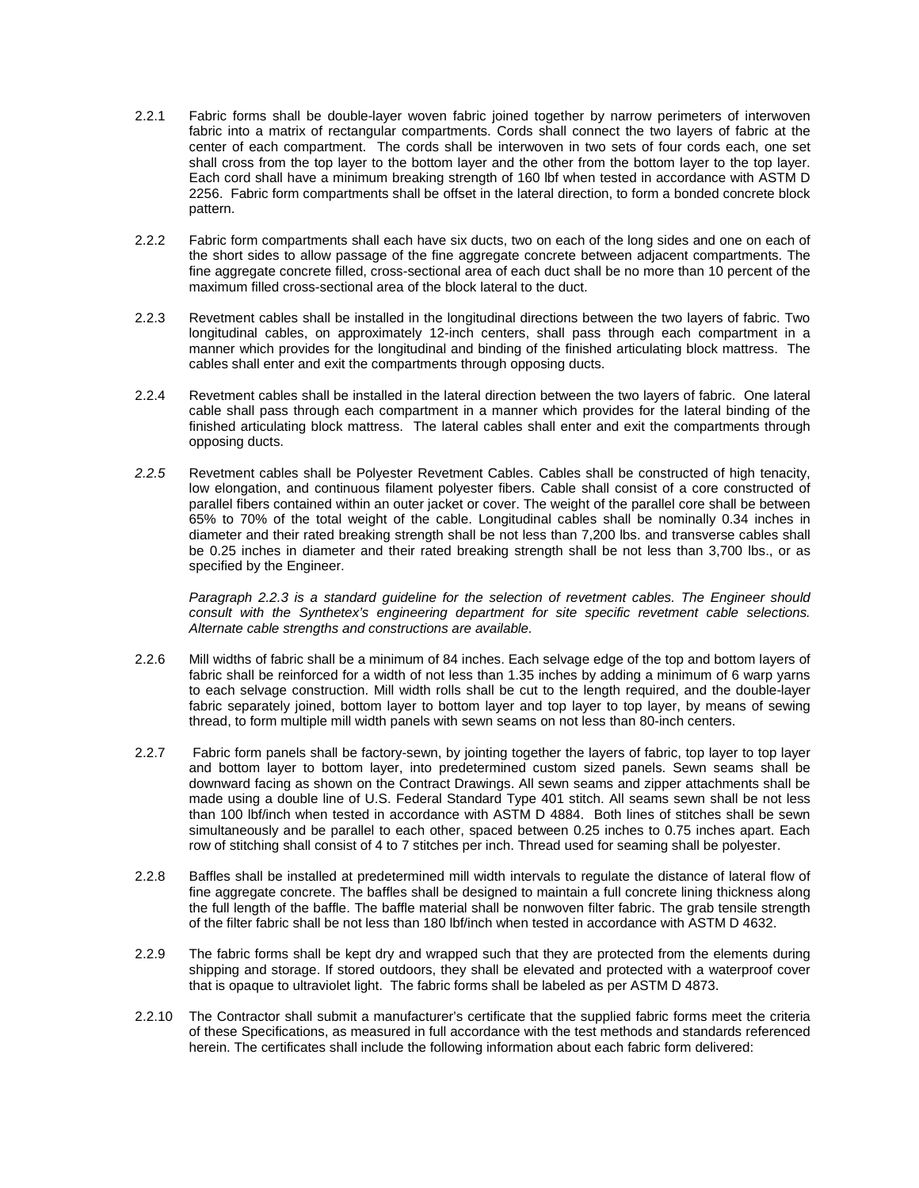- 2.2.1 Fabric forms shall be double-layer woven fabric joined together by narrow perimeters of interwoven fabric into a matrix of rectangular compartments. Cords shall connect the two layers of fabric at the center of each compartment. The cords shall be interwoven in two sets of four cords each, one set shall cross from the top layer to the bottom layer and the other from the bottom layer to the top layer. Each cord shall have a minimum breaking strength of 160 lbf when tested in accordance with ASTM D 2256. Fabric form compartments shall be offset in the lateral direction, to form a bonded concrete block pattern.
- 2.2.2 Fabric form compartments shall each have six ducts, two on each of the long sides and one on each of the short sides to allow passage of the fine aggregate concrete between adjacent compartments. The fine aggregate concrete filled, cross-sectional area of each duct shall be no more than 10 percent of the maximum filled cross-sectional area of the block lateral to the duct.
- 2.2.3 Revetment cables shall be installed in the longitudinal directions between the two layers of fabric. Two longitudinal cables, on approximately 12-inch centers, shall pass through each compartment in a manner which provides for the longitudinal and binding of the finished articulating block mattress. The cables shall enter and exit the compartments through opposing ducts.
- 2.2.4 Revetment cables shall be installed in the lateral direction between the two layers of fabric. One lateral cable shall pass through each compartment in a manner which provides for the lateral binding of the finished articulating block mattress. The lateral cables shall enter and exit the compartments through opposing ducts.
- *2.2.5* Revetment cables shall be Polyester Revetment Cables. Cables shall be constructed of high tenacity, low elongation, and continuous filament polyester fibers. Cable shall consist of a core constructed of parallel fibers contained within an outer jacket or cover. The weight of the parallel core shall be between 65% to 70% of the total weight of the cable. Longitudinal cables shall be nominally 0.34 inches in diameter and their rated breaking strength shall be not less than 7,200 lbs. and transverse cables shall be 0.25 inches in diameter and their rated breaking strength shall be not less than 3,700 lbs., or as specified by the Engineer.

*Paragraph 2.2.3 is a standard guideline for the selection of revetment cables. The Engineer should consult with the Synthetex's engineering department for site specific revetment cable selections. Alternate cable strengths and constructions are available.*

- 2.2.6 Mill widths of fabric shall be a minimum of 84 inches. Each selvage edge of the top and bottom layers of fabric shall be reinforced for a width of not less than 1.35 inches by adding a minimum of 6 warp yarns to each selvage construction. Mill width rolls shall be cut to the length required, and the double-layer fabric separately joined, bottom layer to bottom layer and top layer to top layer, by means of sewing thread, to form multiple mill width panels with sewn seams on not less than 80-inch centers.
- 2.2.7 Fabric form panels shall be factory-sewn, by jointing together the layers of fabric, top layer to top layer and bottom layer to bottom layer, into predetermined custom sized panels. Sewn seams shall be downward facing as shown on the Contract Drawings. All sewn seams and zipper attachments shall be made using a double line of U.S. Federal Standard Type 401 stitch. All seams sewn shall be not less than 100 lbf/inch when tested in accordance with ASTM D 4884. Both lines of stitches shall be sewn simultaneously and be parallel to each other, spaced between 0.25 inches to 0.75 inches apart. Each row of stitching shall consist of 4 to 7 stitches per inch. Thread used for seaming shall be polyester.
- 2.2.8 Baffles shall be installed at predetermined mill width intervals to regulate the distance of lateral flow of fine aggregate concrete. The baffles shall be designed to maintain a full concrete lining thickness along the full length of the baffle. The baffle material shall be nonwoven filter fabric. The grab tensile strength of the filter fabric shall be not less than 180 lbf/inch when tested in accordance with ASTM D 4632.
- 2.2.9 The fabric forms shall be kept dry and wrapped such that they are protected from the elements during shipping and storage. If stored outdoors, they shall be elevated and protected with a waterproof cover that is opaque to ultraviolet light. The fabric forms shall be labeled as per ASTM D 4873.
- 2.2.10 The Contractor shall submit a manufacturer's certificate that the supplied fabric forms meet the criteria of these Specifications, as measured in full accordance with the test methods and standards referenced herein. The certificates shall include the following information about each fabric form delivered: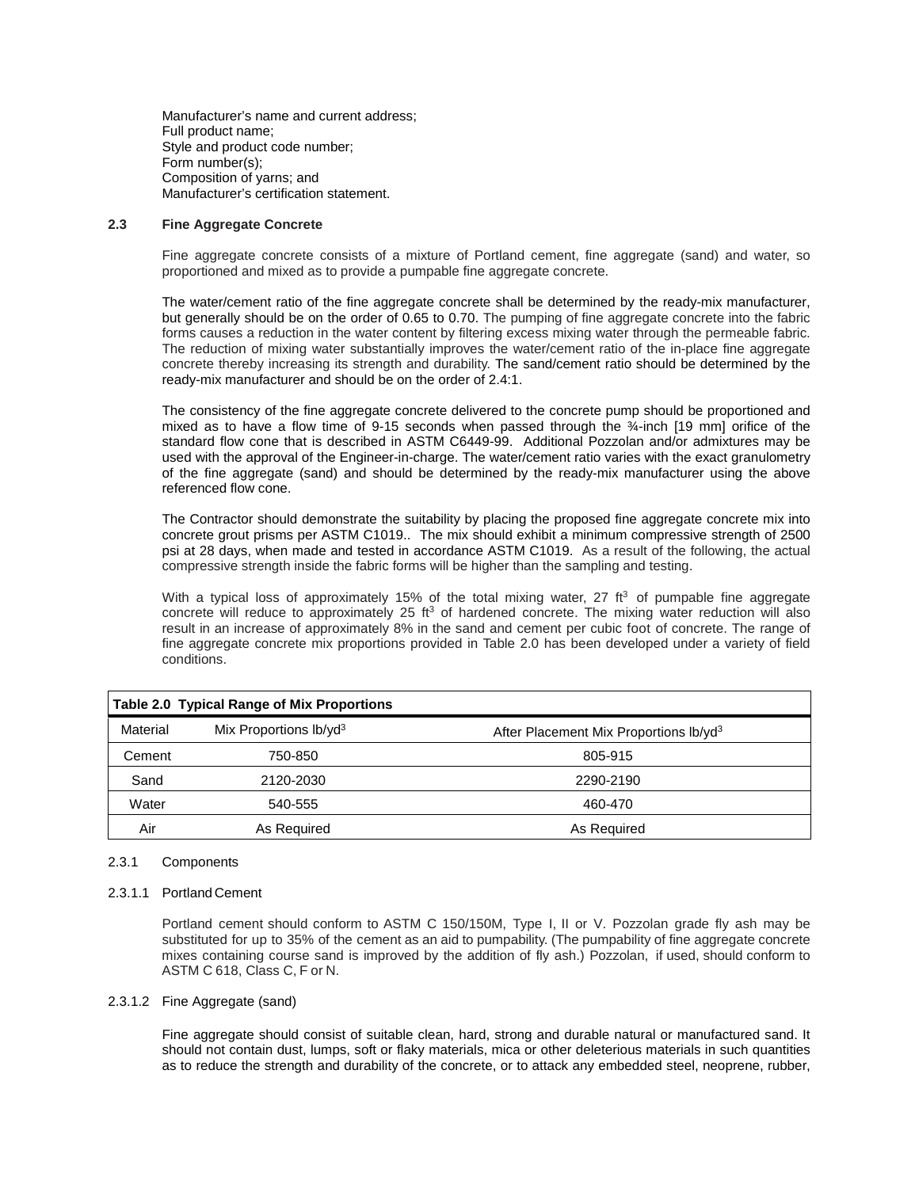Manufacturer's name and current address; Full product name; Style and product code number; Form number(s); Composition of yarns; and Manufacturer's certification statement.

#### **2.3 Fine Aggregate Concrete**

Fine aggregate concrete consists of a mixture of Portland cement, fine aggregate (sand) and water, so proportioned and mixed as to provide a pumpable fine aggregate concrete.

The water/cement ratio of the fine aggregate concrete shall be determined by the ready-mix manufacturer, but generally should be on the order of 0.65 to 0.70. The pumping of fine aggregate concrete into the fabric forms causes a reduction in the water content by filtering excess mixing water through the permeable fabric. The reduction of mixing water substantially improves the water/cement ratio of the in-place fine aggregate concrete thereby increasing its strength and durability. The sand/cement ratio should be determined by the ready-mix manufacturer and should be on the order of 2.4:1.

The consistency of the fine aggregate concrete delivered to the concrete pump should be proportioned and mixed as to have a flow time of 9-15 seconds when passed through the ¾-inch [19 mm] orifice of the standard flow cone that is described in ASTM C6449-99. Additional Pozzolan and/or admixtures may be used with the approval of the Engineer-in-charge. The water/cement ratio varies with the exact granulometry of the fine aggregate (sand) and should be determined by the ready-mix manufacturer using the above referenced flow cone.

The Contractor should demonstrate the suitability by placing the proposed fine aggregate concrete mix into concrete grout prisms per ASTM C1019.. The mix should exhibit a minimum compressive strength of 2500 psi at 28 days, when made and tested in accordance ASTM C1019. As a result of the following, the actual compressive strength inside the fabric forms will be higher than the sampling and testing.

With a typical loss of approximately 15% of the total mixing water, 27  $ft<sup>3</sup>$  of pumpable fine aggregate concrete will reduce to approximately 25  $ft<sup>3</sup>$  of hardened concrete. The mixing water reduction will also result in an increase of approximately 8% in the sand and cement per cubic foot of concrete. The range of fine aggregate concrete mix proportions provided in Table 2.0 has been developed under a variety of field conditions.

|          | <b>Table 2.0 Typical Range of Mix Proportions</b> |                                                    |
|----------|---------------------------------------------------|----------------------------------------------------|
| Material | Mix Proportions lb/yd <sup>3</sup>                | After Placement Mix Proportions Ib/yd <sup>3</sup> |
| Cement   | 750-850                                           | 805-915                                            |
| Sand     | 2120-2030                                         | 2290-2190                                          |
| Water    | 540-555                                           | 460-470                                            |
| Air      | As Required                                       | As Required                                        |

# 2.3.1 Components

#### 2.3.1.1 Portland Cement

Portland cement should conform to ASTM C 150/150M, Type I, II or V. Pozzolan grade fly ash may be substituted for up to 35% of the cement as an aid to pumpability. (The pumpability of fine aggregate concrete mixes containing course sand is improved by the addition of fly ash.) Pozzolan, if used, should conform to ASTM C 618, Class C, F or N.

#### 2.3.1.2 Fine Aggregate (sand)

Fine aggregate should consist of suitable clean, hard, strong and durable natural or manufactured sand. It should not contain dust, lumps, soft or flaky materials, mica or other deleterious materials in such quantities as to reduce the strength and durability of the concrete, or to attack any embedded steel, neoprene, rubber,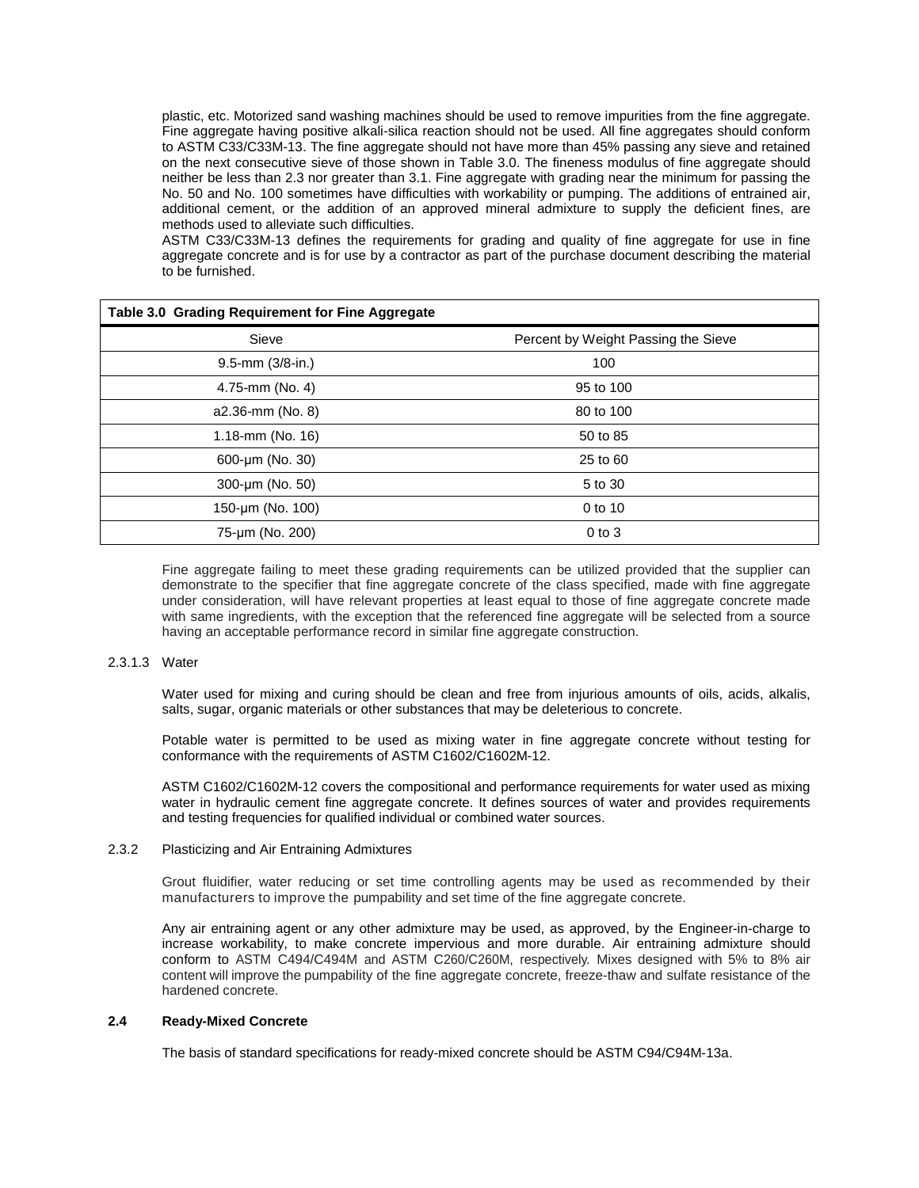plastic, etc. Motorized sand washing machines should be used to remove impurities from the fine aggregate. Fine aggregate having positive alkali-silica reaction should not be used. All fine aggregates should conform to ASTM C33/C33M-13. The fine aggregate should not have more than 45% passing any sieve and retained on the next consecutive sieve of those shown in Table 3.0. The fineness modulus of fine aggregate should neither be less than 2.3 nor greater than 3.1. Fine aggregate with grading near the minimum for passing the No. 50 and No. 100 sometimes have difficulties with workability or pumping. The additions of entrained air, additional cement, or the addition of an approved mineral admixture to supply the deficient fines, are methods used to alleviate such difficulties.

ASTM C33/C33M-13 defines the requirements for grading and quality of fine aggregate for use in fine aggregate concrete and is for use by a contractor as part of the purchase document describing the material to be furnished.

| Table 3.0 Grading Requirement for Fine Aggregate |                                     |  |  |  |
|--------------------------------------------------|-------------------------------------|--|--|--|
| Sieve                                            | Percent by Weight Passing the Sieve |  |  |  |
| 9.5-mm (3/8-in.)                                 | 100                                 |  |  |  |
| 4.75-mm (No. 4)                                  | 95 to 100                           |  |  |  |
| a2.36-mm (No. 8)                                 | 80 to 100                           |  |  |  |
| 1.18-mm (No. 16)                                 | 50 to 85                            |  |  |  |
| 600-µm (No. 30)                                  | 25 to 60                            |  |  |  |
| 300-µm (No. 50)                                  | 5 to 30                             |  |  |  |
| 150-µm (No. 100)                                 | 0 to 10                             |  |  |  |
| 75-um (No. 200)                                  | $0$ to $3$                          |  |  |  |

Fine aggregate failing to meet these grading requirements can be utilized provided that the supplier can demonstrate to the specifier that fine aggregate concrete of the class specified, made with fine aggregate under consideration, will have relevant properties at least equal to those of fine aggregate concrete made with same ingredients, with the exception that the referenced fine aggregate will be selected from a source having an acceptable performance record in similar fine aggregate construction.

#### 2.3.1.3 Water

Water used for mixing and curing should be clean and free from injurious amounts of oils, acids, alkalis, salts, sugar, organic materials or other substances that may be deleterious to concrete.

Potable water is permitted to be used as mixing water in fine aggregate concrete without testing for conformance with the requirements of ASTM C1602/C1602M-12.

ASTM C1602/C1602M-12 covers the compositional and performance requirements for water used as mixing water in hydraulic cement fine aggregate concrete. It defines sources of water and provides requirements and testing frequencies for qualified individual or combined water sources.

# 2.3.2 Plasticizing and Air Entraining Admixtures

Grout fluidifier, water reducing or set time controlling agents may be used as recommended by their manufacturers to improve the pumpability and set time of the fine aggregate concrete.

Any air entraining agent or any other admixture may be used, as approved, by the Engineer-in-charge to increase workability, to make concrete impervious and more durable. Air entraining admixture should conform to ASTM C494/C494M and ASTM C260/C260M, respectively. Mixes designed with 5% to 8% air content will improve the pumpability of the fine aggregate concrete, freeze-thaw and sulfate resistance of the hardened concrete.

#### **2.4 Ready-Mixed Concrete**

The basis of standard specifications for ready-mixed concrete should be ASTM C94/C94M-13a.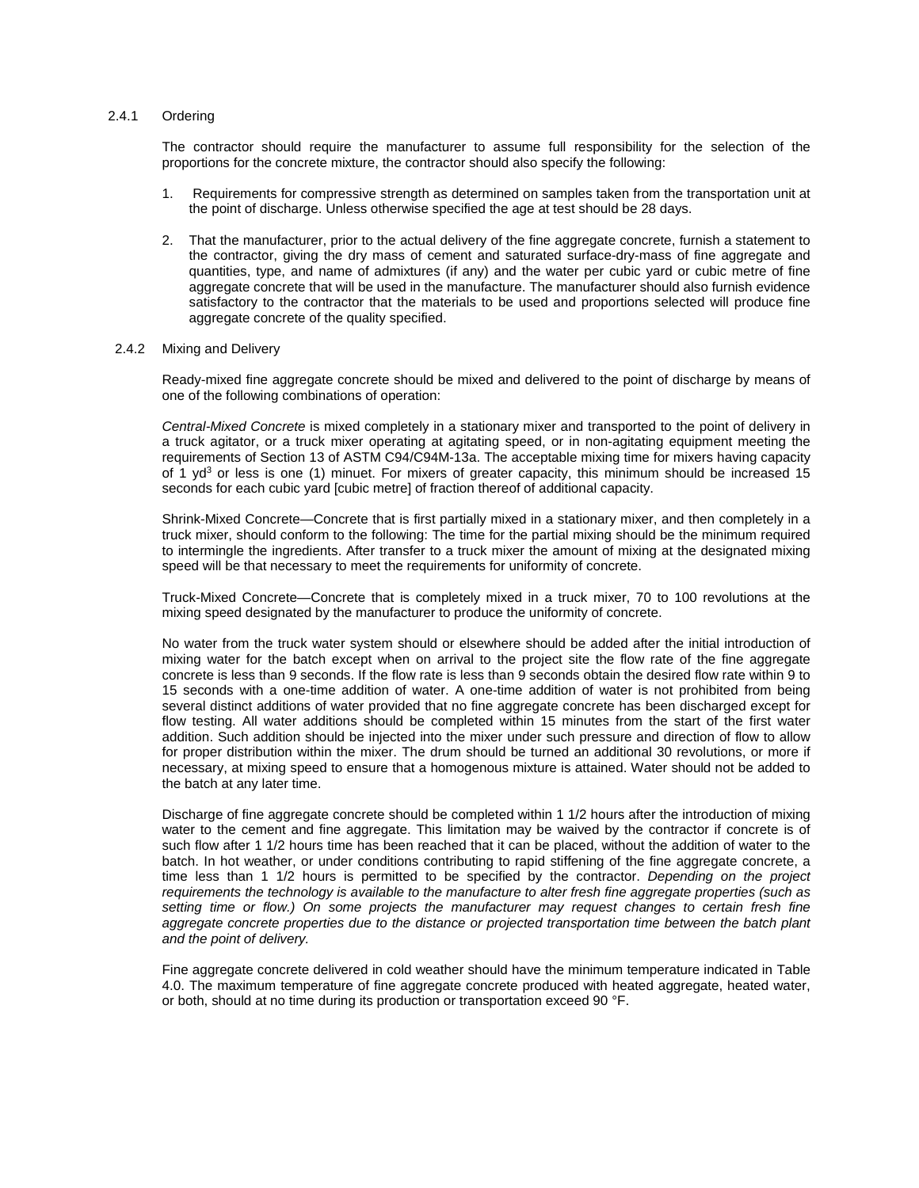#### 2.4.1 Ordering

The contractor should require the manufacturer to assume full responsibility for the selection of the proportions for the concrete mixture, the contractor should also specify the following:

- 1. Requirements for compressive strength as determined on samples taken from the transportation unit at the point of discharge. Unless otherwise specified the age at test should be 28 days.
- 2. That the manufacturer, prior to the actual delivery of the fine aggregate concrete, furnish a statement to the contractor, giving the dry mass of cement and saturated surface-dry-mass of fine aggregate and quantities, type, and name of admixtures (if any) and the water per cubic yard or cubic metre of fine aggregate concrete that will be used in the manufacture. The manufacturer should also furnish evidence satisfactory to the contractor that the materials to be used and proportions selected will produce fine aggregate concrete of the quality specified.

#### 2.4.2 Mixing and Delivery

Ready-mixed fine aggregate concrete should be mixed and delivered to the point of discharge by means of one of the following combinations of operation:

*Central-Mixed Concrete* is mixed completely in a stationary mixer and transported to the point of delivery in a truck agitator, or a truck mixer operating at agitating speed, or in non-agitating equipment meeting the requirements of Section 13 of ASTM C94/C94M-13a. The acceptable mixing time for mixers having capacity of 1  $yd^3$  or less is one (1) minuet. For mixers of greater capacity, this minimum should be increased 15 seconds for each cubic yard [cubic metre] of fraction thereof of additional capacity.

Shrink-Mixed Concrete—Concrete that is first partially mixed in a stationary mixer, and then completely in a truck mixer, should conform to the following: The time for the partial mixing should be the minimum required to intermingle the ingredients. After transfer to a truck mixer the amount of mixing at the designated mixing speed will be that necessary to meet the requirements for uniformity of concrete.

Truck-Mixed Concrete—Concrete that is completely mixed in a truck mixer, 70 to 100 revolutions at the mixing speed designated by the manufacturer to produce the uniformity of concrete.

No water from the truck water system should or elsewhere should be added after the initial introduction of mixing water for the batch except when on arrival to the project site the flow rate of the fine aggregate concrete is less than 9 seconds. If the flow rate is less than 9 seconds obtain the desired flow rate within 9 to 15 seconds with a one-time addition of water. A one-time addition of water is not prohibited from being several distinct additions of water provided that no fine aggregate concrete has been discharged except for flow testing. All water additions should be completed within 15 minutes from the start of the first water addition. Such addition should be injected into the mixer under such pressure and direction of flow to allow for proper distribution within the mixer. The drum should be turned an additional 30 revolutions, or more if necessary, at mixing speed to ensure that a homogenous mixture is attained. Water should not be added to the batch at any later time.

Discharge of fine aggregate concrete should be completed within 1 1/2 hours after the introduction of mixing water to the cement and fine aggregate. This limitation may be waived by the contractor if concrete is of such flow after 1 1/2 hours time has been reached that it can be placed, without the addition of water to the batch. In hot weather, or under conditions contributing to rapid stiffening of the fine aggregate concrete, a time less than 1 1/2 hours is permitted to be specified by the contractor. *Depending on the project requirements the technology is available to the manufacture to alter fresh fine aggregate properties (such as setting time or flow.) On some projects the manufacturer may request changes to certain fresh fine aggregate concrete properties due to the distance or projected transportation time between the batch plant and the point of delivery.*

Fine aggregate concrete delivered in cold weather should have the minimum temperature indicated in Table 4.0. The maximum temperature of fine aggregate concrete produced with heated aggregate, heated water, or both, should at no time during its production or transportation exceed 90 °F.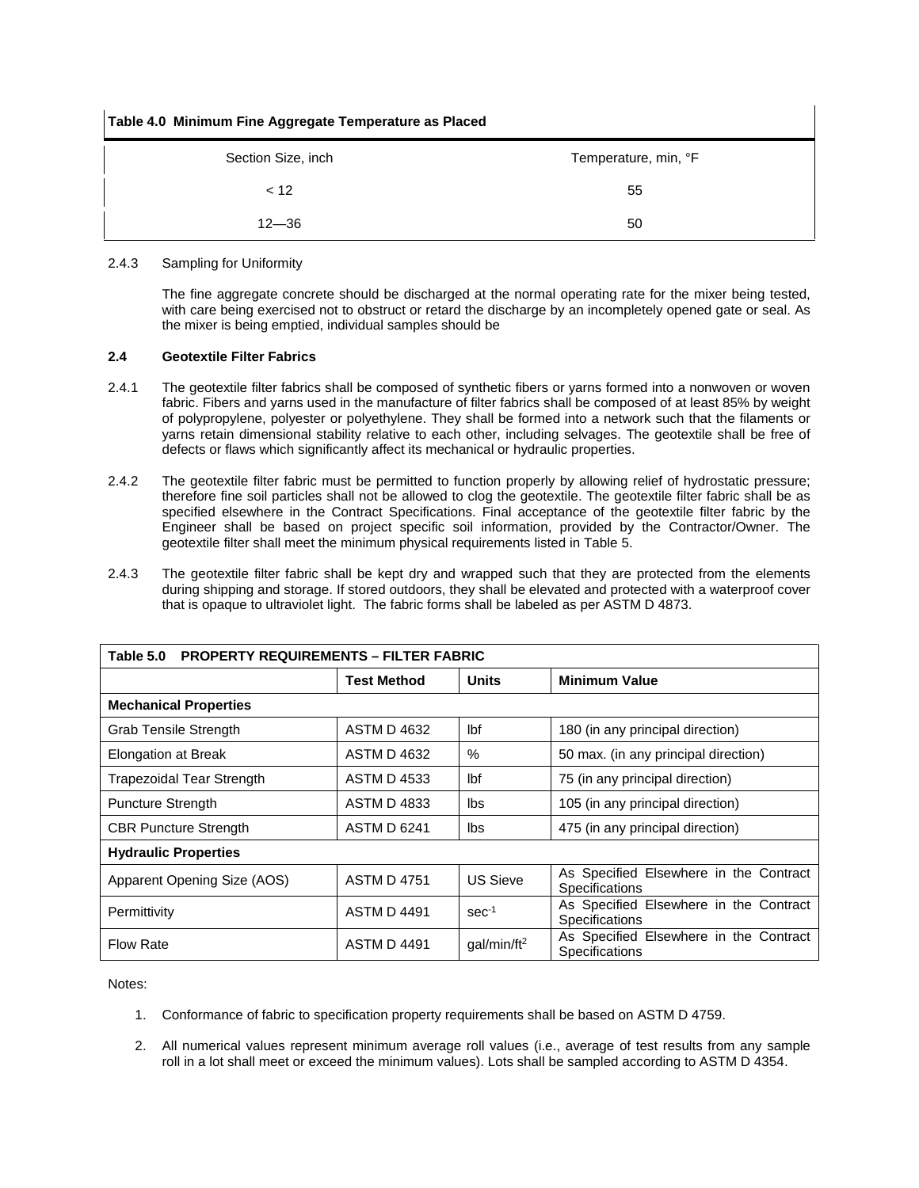| Table 4.0 Minimum Fine Aggregate Temperature as Placed |                      |  |  |  |  |
|--------------------------------------------------------|----------------------|--|--|--|--|
| Section Size, inch                                     | Temperature, min, °F |  |  |  |  |
| < 12                                                   | 55                   |  |  |  |  |
| $12 - 36$                                              | 50                   |  |  |  |  |

# 2.4.3 Sampling for Uniformity

The fine aggregate concrete should be discharged at the normal operating rate for the mixer being tested, with care being exercised not to obstruct or retard the discharge by an incompletely opened gate or seal. As the mixer is being emptied, individual samples should be

# **2.4 Geotextile Filter Fabrics**

- 2.4.1 The geotextile filter fabrics shall be composed of synthetic fibers or yarns formed into a nonwoven or woven fabric. Fibers and yarns used in the manufacture of filter fabrics shall be composed of at least 85% by weight of polypropylene, polyester or polyethylene. They shall be formed into a network such that the filaments or yarns retain dimensional stability relative to each other, including selvages. The geotextile shall be free of defects or flaws which significantly affect its mechanical or hydraulic properties.
- 2.4.2 The geotextile filter fabric must be permitted to function properly by allowing relief of hydrostatic pressure; therefore fine soil particles shall not be allowed to clog the geotextile. The geotextile filter fabric shall be as specified elsewhere in the Contract Specifications. Final acceptance of the geotextile filter fabric by the Engineer shall be based on project specific soil information, provided by the Contractor/Owner. The geotextile filter shall meet the minimum physical requirements listed in Table 5.
- 2.4.3 The geotextile filter fabric shall be kept dry and wrapped such that they are protected from the elements during shipping and storage. If stored outdoors, they shall be elevated and protected with a waterproof cover that is opaque to ultraviolet light. The fabric forms shall be labeled as per ASTM D 4873.

| Table 5.0<br><b>PROPERTY REQUIREMENTS - FILTER FABRIC</b> |                    |                         |                                                                 |  |  |
|-----------------------------------------------------------|--------------------|-------------------------|-----------------------------------------------------------------|--|--|
|                                                           | <b>Test Method</b> | <b>Units</b>            | <b>Minimum Value</b>                                            |  |  |
| <b>Mechanical Properties</b>                              |                    |                         |                                                                 |  |  |
| <b>Grab Tensile Strength</b>                              | <b>ASTM D 4632</b> | lbf                     | 180 (in any principal direction)                                |  |  |
| <b>Elongation at Break</b>                                | <b>ASTM D 4632</b> | $\%$                    | 50 max. (in any principal direction)                            |  |  |
| <b>Trapezoidal Tear Strength</b>                          | <b>ASTM D 4533</b> | Ibf                     | 75 (in any principal direction)                                 |  |  |
| <b>Puncture Strength</b>                                  | <b>ASTM D 4833</b> | lbs                     | 105 (in any principal direction)                                |  |  |
| <b>CBR Puncture Strength</b>                              | ASTM D 6241        | lbs                     | 475 (in any principal direction)                                |  |  |
| <b>Hydraulic Properties</b>                               |                    |                         |                                                                 |  |  |
| Apparent Opening Size (AOS)                               | <b>ASTM D 4751</b> | US Sieve                | As Specified Elsewhere in the Contract<br><b>Specifications</b> |  |  |
| Permittivity                                              | <b>ASTM D 4491</b> | $sec-1$                 | As Specified Elsewhere in the Contract<br>Specifications        |  |  |
| <b>Flow Rate</b>                                          | <b>ASTM D 4491</b> | qal/min/ft <sup>2</sup> | As Specified Elsewhere in the Contract<br><b>Specifications</b> |  |  |

Notes:

- 1. Conformance of fabric to specification property requirements shall be based on ASTM D 4759.
- 2. All numerical values represent minimum average roll values (i.e., average of test results from any sample roll in a lot shall meet or exceed the minimum values). Lots shall be sampled according to ASTM D 4354.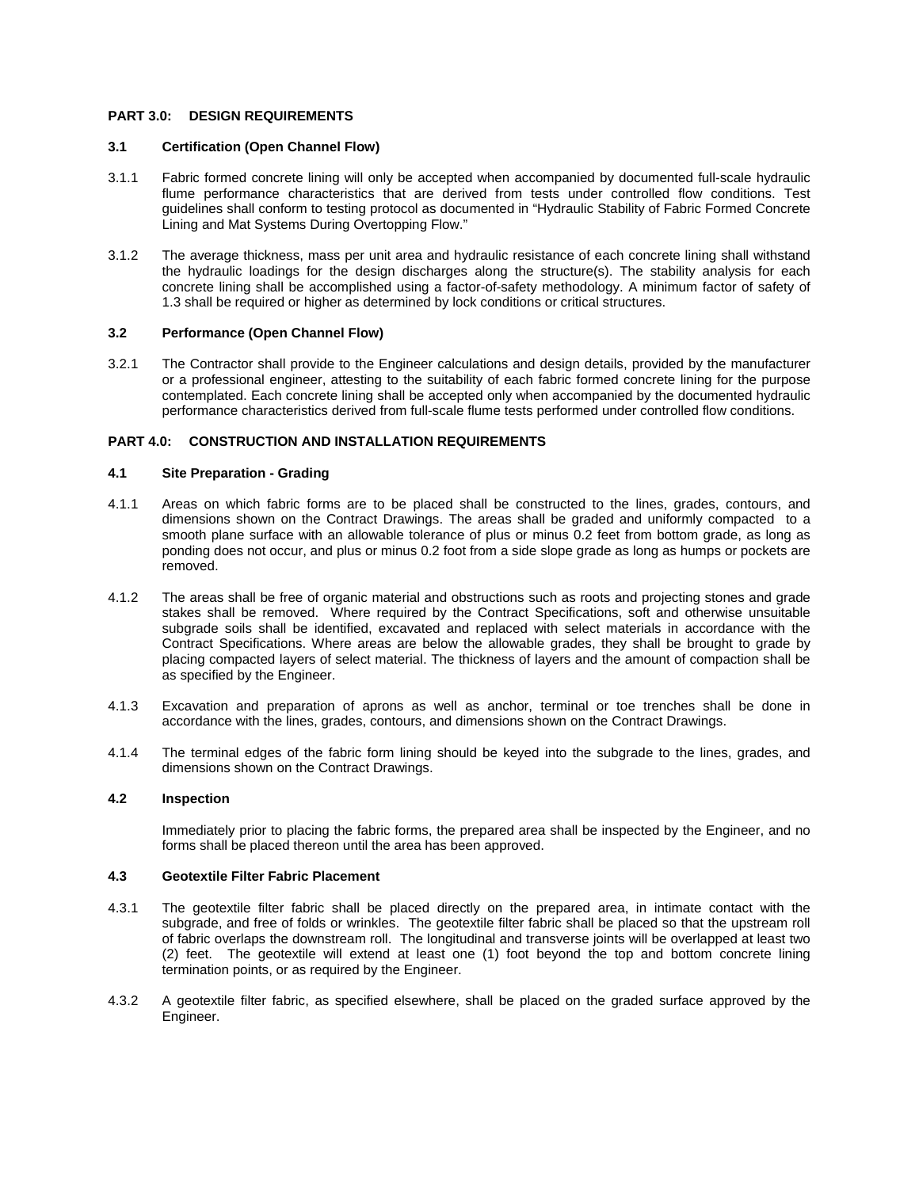# **PART 3.0: DESIGN REQUIREMENTS**

# **3.1 Certification (Open Channel Flow)**

- 3.1.1 Fabric formed concrete lining will only be accepted when accompanied by documented full-scale hydraulic flume performance characteristics that are derived from tests under controlled flow conditions. Test guidelines shall conform to testing protocol as documented in "Hydraulic Stability of Fabric Formed Concrete Lining and Mat Systems During Overtopping Flow."
- 3.1.2 The average thickness, mass per unit area and hydraulic resistance of each concrete lining shall withstand the hydraulic loadings for the design discharges along the structure(s). The stability analysis for each concrete lining shall be accomplished using a factor-of-safety methodology. A minimum factor of safety of 1.3 shall be required or higher as determined by lock conditions or critical structures.

#### **3.2 Performance (Open Channel Flow)**

3.2.1 The Contractor shall provide to the Engineer calculations and design details, provided by the manufacturer or a professional engineer, attesting to the suitability of each fabric formed concrete lining for the purpose contemplated. Each concrete lining shall be accepted only when accompanied by the documented hydraulic performance characteristics derived from full-scale flume tests performed under controlled flow conditions.

# **PART 4.0: CONSTRUCTION AND INSTALLATION REQUIREMENTS**

#### **4.1 Site Preparation - Grading**

- 4.1.1 Areas on which fabric forms are to be placed shall be constructed to the lines, grades, contours, and dimensions shown on the Contract Drawings. The areas shall be graded and uniformly compacted to a smooth plane surface with an allowable tolerance of plus or minus 0.2 feet from bottom grade, as long as ponding does not occur, and plus or minus 0.2 foot from a side slope grade as long as humps or pockets are removed.
- 4.1.2 The areas shall be free of organic material and obstructions such as roots and projecting stones and grade stakes shall be removed. Where required by the Contract Specifications, soft and otherwise unsuitable subgrade soils shall be identified, excavated and replaced with select materials in accordance with the Contract Specifications. Where areas are below the allowable grades, they shall be brought to grade by placing compacted layers of select material. The thickness of layers and the amount of compaction shall be as specified by the Engineer.
- 4.1.3 Excavation and preparation of aprons as well as anchor, terminal or toe trenches shall be done in accordance with the lines, grades, contours, and dimensions shown on the Contract Drawings.
- 4.1.4 The terminal edges of the fabric form lining should be keyed into the subgrade to the lines, grades, and dimensions shown on the Contract Drawings.

### **4.2 Inspection**

Immediately prior to placing the fabric forms, the prepared area shall be inspected by the Engineer, and no forms shall be placed thereon until the area has been approved.

# **4.3 Geotextile Filter Fabric Placement**

- 4.3.1 The geotextile filter fabric shall be placed directly on the prepared area, in intimate contact with the subgrade, and free of folds or wrinkles. The geotextile filter fabric shall be placed so that the upstream roll of fabric overlaps the downstream roll. The longitudinal and transverse joints will be overlapped at least two (2) feet. The geotextile will extend at least one (1) foot beyond the top and bottom concrete lining termination points, or as required by the Engineer.
- 4.3.2 A geotextile filter fabric, as specified elsewhere, shall be placed on the graded surface approved by the Engineer.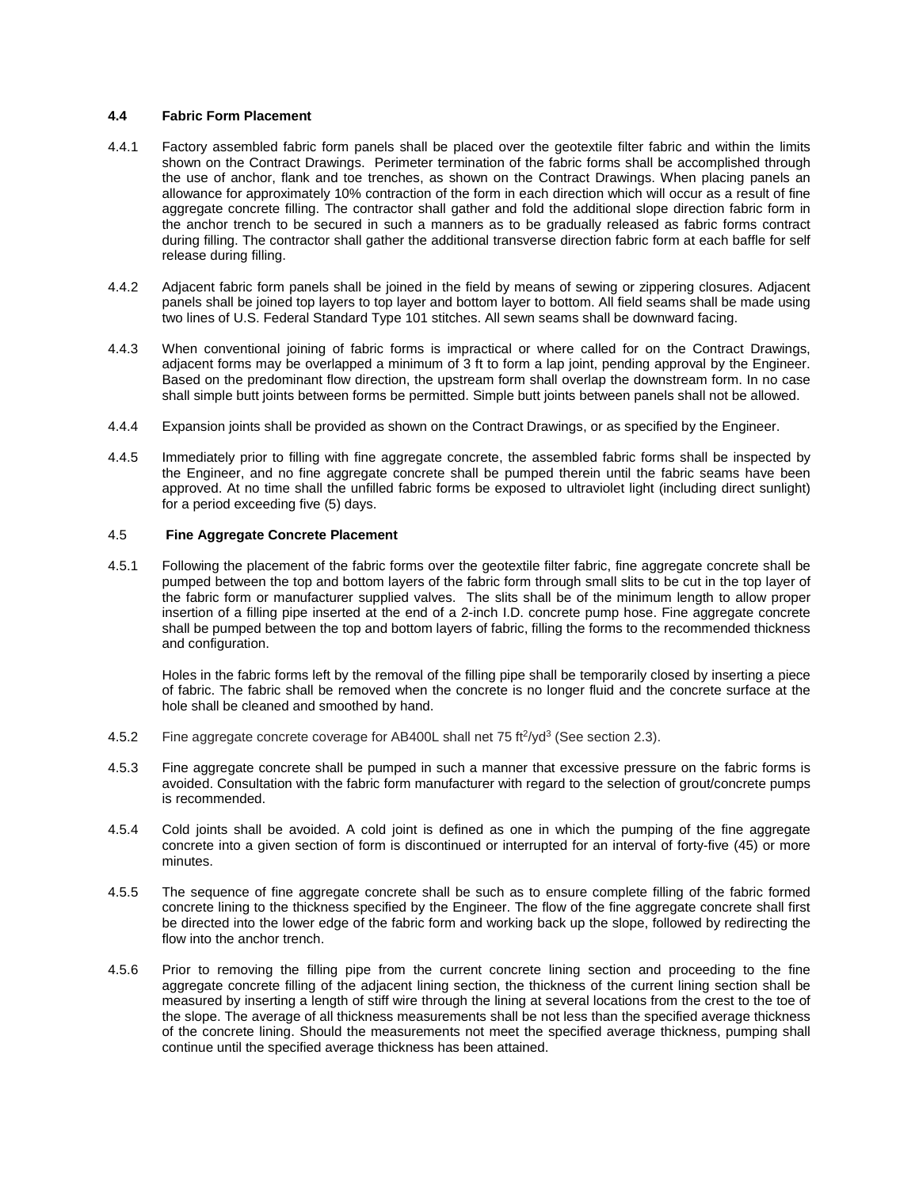## **4.4 Fabric Form Placement**

- 4.4.1 Factory assembled fabric form panels shall be placed over the geotextile filter fabric and within the limits shown on the Contract Drawings. Perimeter termination of the fabric forms shall be accomplished through the use of anchor, flank and toe trenches, as shown on the Contract Drawings. When placing panels an allowance for approximately 10% contraction of the form in each direction which will occur as a result of fine aggregate concrete filling. The contractor shall gather and fold the additional slope direction fabric form in the anchor trench to be secured in such a manners as to be gradually released as fabric forms contract during filling. The contractor shall gather the additional transverse direction fabric form at each baffle for self release during filling.
- 4.4.2 Adjacent fabric form panels shall be joined in the field by means of sewing or zippering closures. Adjacent panels shall be joined top layers to top layer and bottom layer to bottom. All field seams shall be made using two lines of U.S. Federal Standard Type 101 stitches. All sewn seams shall be downward facing.
- 4.4.3 When conventional joining of fabric forms is impractical or where called for on the Contract Drawings, adjacent forms may be overlapped a minimum of 3 ft to form a lap joint, pending approval by the Engineer. Based on the predominant flow direction, the upstream form shall overlap the downstream form. In no case shall simple butt joints between forms be permitted. Simple butt joints between panels shall not be allowed.
- 4.4.4 Expansion joints shall be provided as shown on the Contract Drawings, or as specified by the Engineer.
- 4.4.5 Immediately prior to filling with fine aggregate concrete, the assembled fabric forms shall be inspected by the Engineer, and no fine aggregate concrete shall be pumped therein until the fabric seams have been approved. At no time shall the unfilled fabric forms be exposed to ultraviolet light (including direct sunlight) for a period exceeding five (5) days.

# 4.5 **Fine Aggregate Concrete Placement**

4.5.1 Following the placement of the fabric forms over the geotextile filter fabric, fine aggregate concrete shall be pumped between the top and bottom layers of the fabric form through small slits to be cut in the top layer of the fabric form or manufacturer supplied valves. The slits shall be of the minimum length to allow proper insertion of a filling pipe inserted at the end of a 2-inch I.D. concrete pump hose. Fine aggregate concrete shall be pumped between the top and bottom layers of fabric, filling the forms to the recommended thickness and configuration.

Holes in the fabric forms left by the removal of the filling pipe shall be temporarily closed by inserting a piece of fabric. The fabric shall be removed when the concrete is no longer fluid and the concrete surface at the hole shall be cleaned and smoothed by hand.

- 4.5.2 Fine aggregate concrete coverage for AB400L shall net 75 ft $\frac{2}{9}$  (See section 2.3).
- 4.5.3 Fine aggregate concrete shall be pumped in such a manner that excessive pressure on the fabric forms is avoided. Consultation with the fabric form manufacturer with regard to the selection of grout/concrete pumps is recommended.
- 4.5.4 Cold joints shall be avoided. A cold joint is defined as one in which the pumping of the fine aggregate concrete into a given section of form is discontinued or interrupted for an interval of forty-five (45) or more minutes.
- 4.5.5 The sequence of fine aggregate concrete shall be such as to ensure complete filling of the fabric formed concrete lining to the thickness specified by the Engineer. The flow of the fine aggregate concrete shall first be directed into the lower edge of the fabric form and working back up the slope, followed by redirecting the flow into the anchor trench.
- 4.5.6 Prior to removing the filling pipe from the current concrete lining section and proceeding to the fine aggregate concrete filling of the adjacent lining section, the thickness of the current lining section shall be measured by inserting a length of stiff wire through the lining at several locations from the crest to the toe of the slope. The average of all thickness measurements shall be not less than the specified average thickness of the concrete lining. Should the measurements not meet the specified average thickness, pumping shall continue until the specified average thickness has been attained.